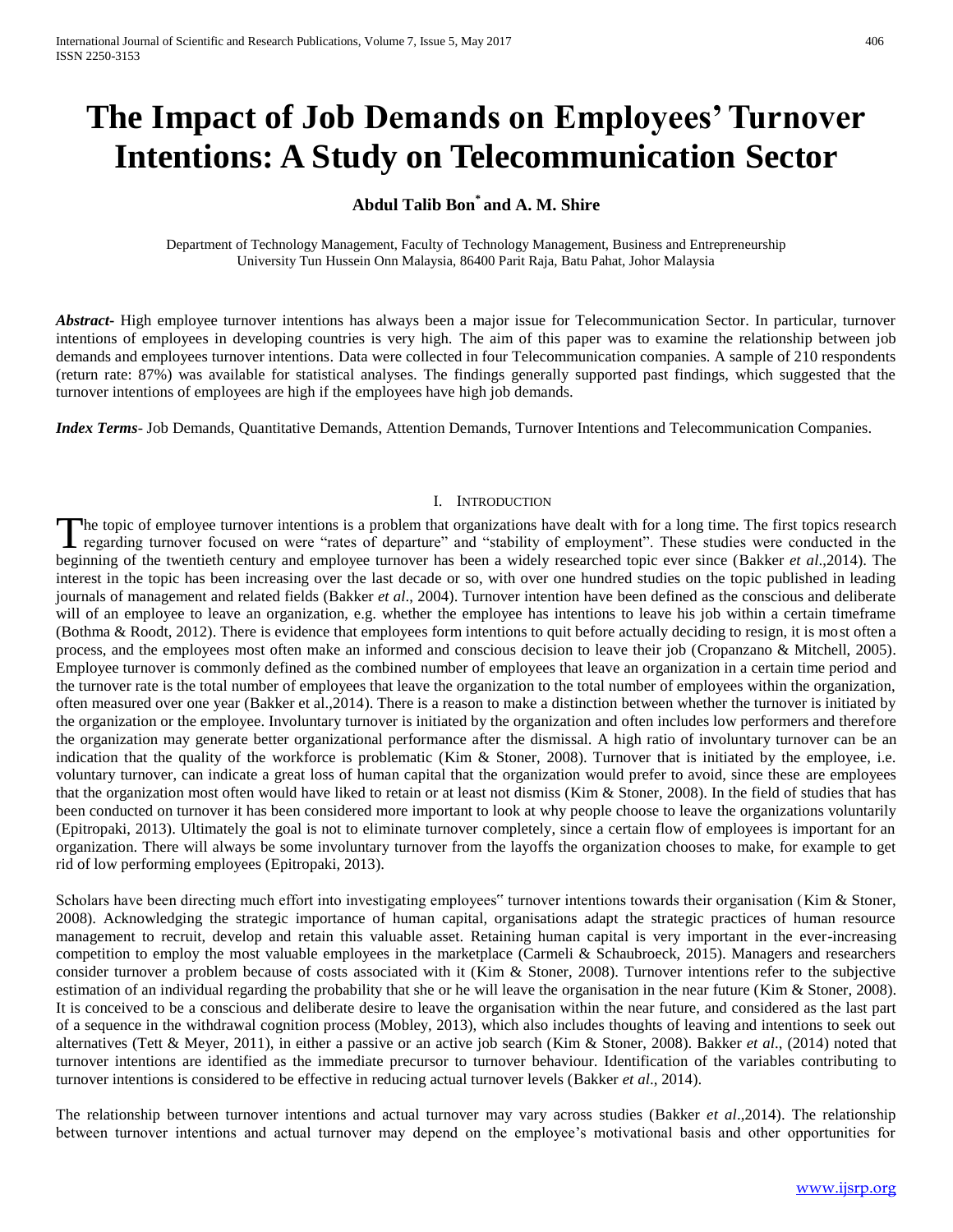# **The Impact of Job Demands on Employees' Turnover Intentions: A Study on Telecommunication Sector**

## **Abdul Talib Bon\* and A. M. Shire**

Department of Technology Management, Faculty of Technology Management, Business and Entrepreneurship University Tun Hussein Onn Malaysia, 86400 Parit Raja, Batu Pahat, Johor Malaysia

*Abstract***-** High employee turnover intentions has always been a major issue for Telecommunication Sector. In particular, turnover intentions of employees in developing countries is very high. The aim of this paper was to examine the relationship between job demands and employees turnover intentions. Data were collected in four Telecommunication companies. A sample of 210 respondents (return rate: 87%) was available for statistical analyses. The findings generally supported past findings, which suggested that the turnover intentions of employees are high if the employees have high job demands.

*Index Terms*- Job Demands, Quantitative Demands, Attention Demands, Turnover Intentions and Telecommunication Companies.

## I. INTRODUCTION

The topic of employee turnover intentions is a problem that organizations have dealt with for a long time. The first topics research The topic of employee turnover intentions is a problem that organizations have dealt with for a long time. The first topics research regarding turnover focused on were "rates of departure" and "stability of employment". Th beginning of the twentieth century and employee turnover has been a widely researched topic ever since (Bakker *et al*.,2014). The interest in the topic has been increasing over the last decade or so, with over one hundred studies on the topic published in leading journals of management and related fields (Bakker *et al*., 2004). Turnover intention have been defined as the conscious and deliberate will of an employee to leave an organization, e.g. whether the employee has intentions to leave his job within a certain timeframe (Bothma & Roodt, 2012). There is evidence that employees form intentions to quit before actually deciding to resign, it is most often a process, and the employees most often make an informed and conscious decision to leave their job (Cropanzano & Mitchell, 2005). Employee turnover is commonly defined as the combined number of employees that leave an organization in a certain time period and the turnover rate is the total number of employees that leave the organization to the total number of employees within the organization, often measured over one year (Bakker et al.,2014). There is a reason to make a distinction between whether the turnover is initiated by the organization or the employee. Involuntary turnover is initiated by the organization and often includes low performers and therefore the organization may generate better organizational performance after the dismissal. A high ratio of involuntary turnover can be an indication that the quality of the workforce is problematic (Kim & Stoner, 2008). Turnover that is initiated by the employee, i.e. voluntary turnover, can indicate a great loss of human capital that the organization would prefer to avoid, since these are employees that the organization most often would have liked to retain or at least not dismiss (Kim & Stoner, 2008). In the field of studies that has been conducted on turnover it has been considered more important to look at why people choose to leave the organizations voluntarily (Epitropaki, 2013). Ultimately the goal is not to eliminate turnover completely, since a certain flow of employees is important for an organization. There will always be some involuntary turnover from the layoffs the organization chooses to make, for example to get rid of low performing employees (Epitropaki, 2013).

Scholars have been directing much effort into investigating employees" turnover intentions towards their organisation (Kim & Stoner, 2008). Acknowledging the strategic importance of human capital, organisations adapt the strategic practices of human resource management to recruit, develop and retain this valuable asset. Retaining human capital is very important in the ever-increasing competition to employ the most valuable employees in the marketplace (Carmeli & Schaubroeck, 2015). Managers and researchers consider turnover a problem because of costs associated with it (Kim & Stoner, 2008). Turnover intentions refer to the subjective estimation of an individual regarding the probability that she or he will leave the organisation in the near future (Kim & Stoner, 2008). It is conceived to be a conscious and deliberate desire to leave the organisation within the near future, and considered as the last part of a sequence in the withdrawal cognition process (Mobley, 2013), which also includes thoughts of leaving and intentions to seek out alternatives (Tett & Meyer, 2011), in either a passive or an active job search (Kim & Stoner, 2008). Bakker *et al*., (2014) noted that turnover intentions are identified as the immediate precursor to turnover behaviour. Identification of the variables contributing to turnover intentions is considered to be effective in reducing actual turnover levels (Bakker *et al*., 2014).

The relationship between turnover intentions and actual turnover may vary across studies (Bakker *et al*.,2014). The relationship between turnover intentions and actual turnover may depend on the employee's motivational basis and other opportunities for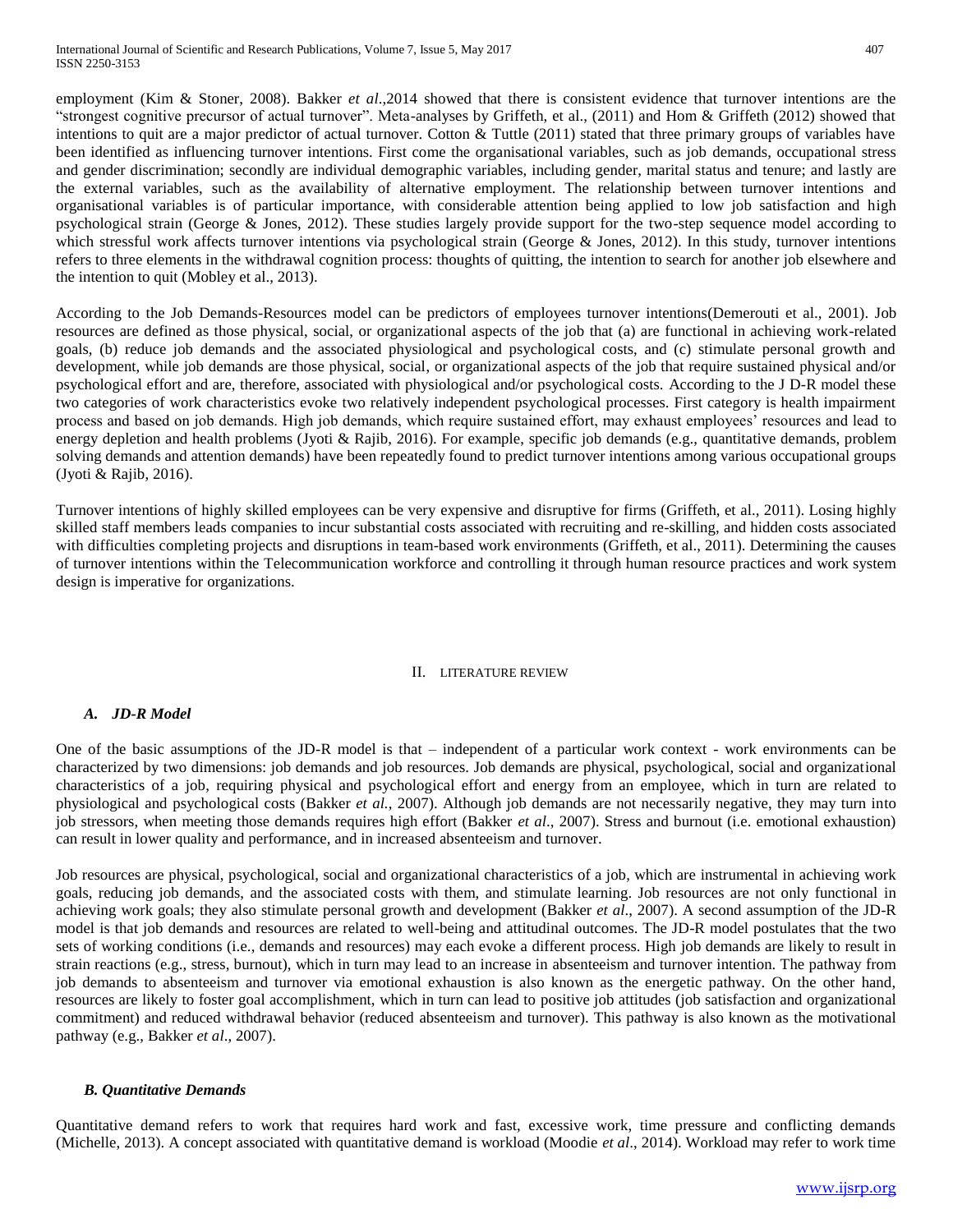employment (Kim & Stoner, 2008). Bakker *et al*.,2014 showed that there is consistent evidence that turnover intentions are the "strongest cognitive precursor of actual turnover". Meta-analyses by Griffeth, et al., (2011) and Hom & Griffeth (2012) showed that intentions to quit are a major predictor of actual turnover. Cotton & Tuttle (2011) stated that three primary groups of variables have been identified as influencing turnover intentions. First come the organisational variables, such as job demands, occupational stress and gender discrimination; secondly are individual demographic variables, including gender, marital status and tenure; and lastly are the external variables, such as the availability of alternative employment. The relationship between turnover intentions and organisational variables is of particular importance, with considerable attention being applied to low job satisfaction and high psychological strain (George & Jones, 2012). These studies largely provide support for the two-step sequence model according to which stressful work affects turnover intentions via psychological strain (George & Jones, 2012). In this study, turnover intentions refers to three elements in the withdrawal cognition process: thoughts of quitting, the intention to search for another job elsewhere and the intention to quit (Mobley et al., 2013).

According to the Job Demands-Resources model can be predictors of employees turnover intentions(Demerouti et al., 2001). Job resources are defined as those physical, social, or organizational aspects of the job that (a) are functional in achieving work-related goals, (b) reduce job demands and the associated physiological and psychological costs, and (c) stimulate personal growth and development, while job demands are those physical, social, or organizational aspects of the job that require sustained physical and/or psychological effort and are, therefore, associated with physiological and/or psychological costs. According to the J D-R model these two categories of work characteristics evoke two relatively independent psychological processes. First category is health impairment process and based on job demands. High job demands, which require sustained effort, may exhaust employees' resources and lead to energy depletion and health problems (Jyoti & Rajib, 2016). For example, specific job demands (e.g., quantitative demands, problem solving demands and attention demands) have been repeatedly found to predict turnover intentions among various occupational groups (Jyoti & Rajib, 2016).

Turnover intentions of highly skilled employees can be very expensive and disruptive for firms (Griffeth, et al., 2011). Losing highly skilled staff members leads companies to incur substantial costs associated with recruiting and re-skilling, and hidden costs associated with difficulties completing projects and disruptions in team-based work environments (Griffeth, et al., 2011). Determining the causes of turnover intentions within the Telecommunication workforce and controlling it through human resource practices and work system design is imperative for organizations.

#### II. LITERATURE REVIEW

## *A. JD-R Model*

One of the basic assumptions of the JD-R model is that – independent of a particular work context - work environments can be characterized by two dimensions: job demands and job resources. Job demands are physical, psychological, social and organizational characteristics of a job, requiring physical and psychological effort and energy from an employee, which in turn are related to physiological and psychological costs (Bakker *et al.*, 2007). Although job demands are not necessarily negative, they may turn into job stressors, when meeting those demands requires high effort (Bakker *et al*., 2007). Stress and burnout (i.e. emotional exhaustion) can result in lower quality and performance, and in increased absenteeism and turnover.

Job resources are physical, psychological, social and organizational characteristics of a job, which are instrumental in achieving work goals, reducing job demands, and the associated costs with them, and stimulate learning. Job resources are not only functional in achieving work goals; they also stimulate personal growth and development (Bakker *et al*., 2007). A second assumption of the JD-R model is that job demands and resources are related to well-being and attitudinal outcomes. The JD-R model postulates that the two sets of working conditions (i.e., demands and resources) may each evoke a different process. High job demands are likely to result in strain reactions (e.g., stress, burnout), which in turn may lead to an increase in absenteeism and turnover intention. The pathway from job demands to absenteeism and turnover via emotional exhaustion is also known as the energetic pathway. On the other hand, resources are likely to foster goal accomplishment, which in turn can lead to positive job attitudes (job satisfaction and organizational commitment) and reduced withdrawal behavior (reduced absenteeism and turnover). This pathway is also known as the motivational pathway (e.g., Bakker *et al*., 2007).

## *B. Quantitative Demands*

Quantitative demand refers to work that requires hard work and fast, excessive work, time pressure and conflicting demands (Michelle, 2013). A concept associated with quantitative demand is workload (Moodie *et al*., 2014). Workload may refer to work time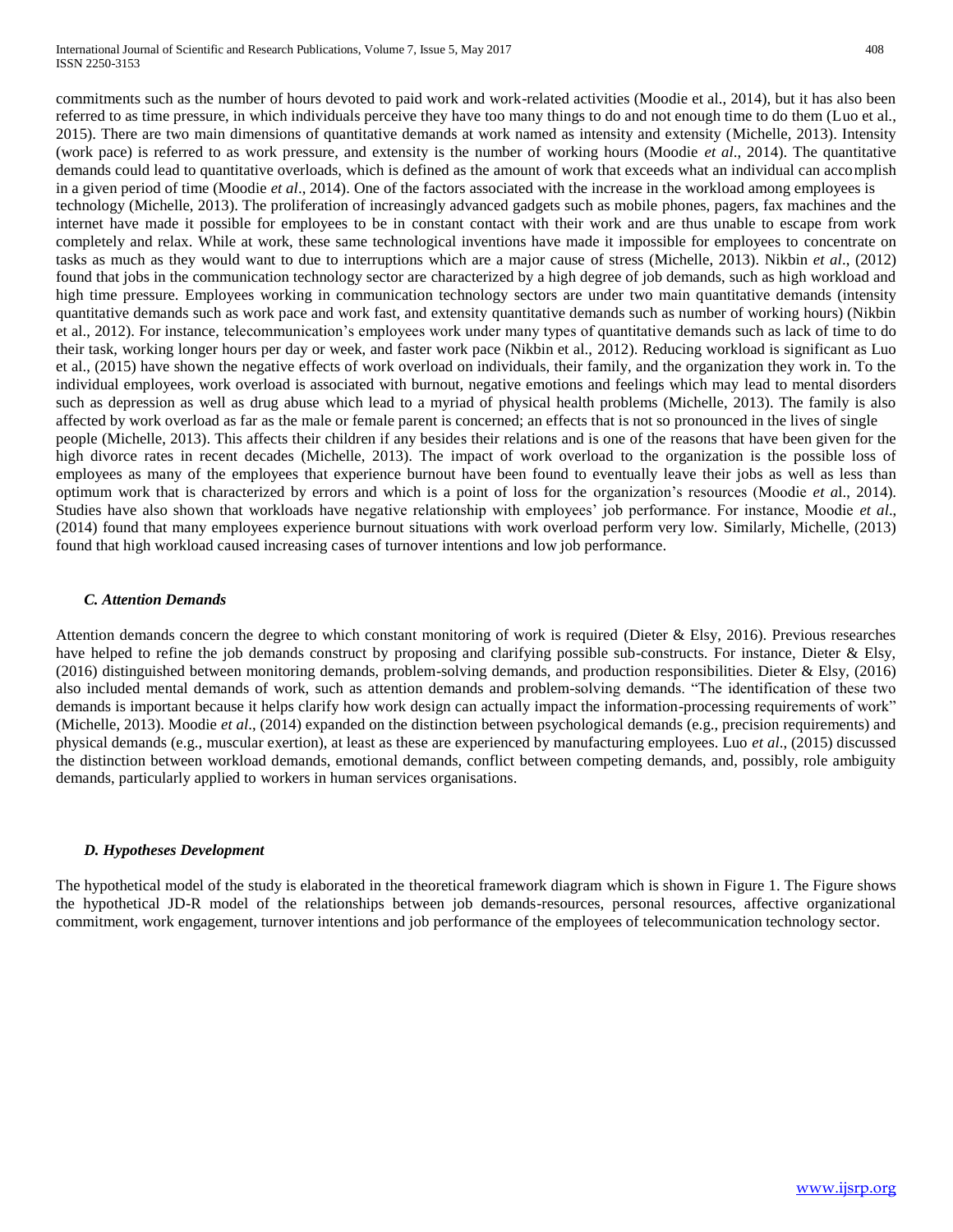commitments such as the number of hours devoted to paid work and work-related activities (Moodie et al., 2014), but it has also been referred to as time pressure, in which individuals perceive they have too many things to do and not enough time to do them (Luo et al., 2015). There are two main dimensions of quantitative demands at work named as intensity and extensity (Michelle, 2013). Intensity (work pace) is referred to as work pressure, and extensity is the number of working hours (Moodie *et al*., 2014). The quantitative demands could lead to quantitative overloads, which is defined as the amount of work that exceeds what an individual can accomplish in a given period of time (Moodie *et al*., 2014). One of the factors associated with the increase in the workload among employees is technology (Michelle, 2013). The proliferation of increasingly advanced gadgets such as mobile phones, pagers, fax machines and the internet have made it possible for employees to be in constant contact with their work and are thus unable to escape from work completely and relax. While at work, these same technological inventions have made it impossible for employees to concentrate on tasks as much as they would want to due to interruptions which are a major cause of stress (Michelle, 2013). Nikbin *et al*., (2012) found that jobs in the communication technology sector are characterized by a high degree of job demands, such as high workload and high time pressure. Employees working in communication technology sectors are under two main quantitative demands (intensity quantitative demands such as work pace and work fast, and extensity quantitative demands such as number of working hours) (Nikbin et al., 2012). For instance, telecommunication's employees work under many types of quantitative demands such as lack of time to do their task, working longer hours per day or week, and faster work pace (Nikbin et al., 2012). Reducing workload is significant as Luo et al., (2015) have shown the negative effects of work overload on individuals, their family, and the organization they work in. To the individual employees, work overload is associated with burnout, negative emotions and feelings which may lead to mental disorders such as depression as well as drug abuse which lead to a myriad of physical health problems (Michelle, 2013). The family is also affected by work overload as far as the male or female parent is concerned; an effects that is not so pronounced in the lives of single people (Michelle, 2013). This affects their children if any besides their relations and is one of the reasons that have been given for the high divorce rates in recent decades (Michelle, 2013). The impact of work overload to the organization is the possible loss of employees as many of the employees that experience burnout have been found to eventually leave their jobs as well as less than optimum work that is characterized by errors and which is a point of loss for the organization's resources (Moodie *et a*l., 2014). Studies have also shown that workloads have negative relationship with employees' job performance. For instance, Moodie *et al*., (2014) found that many employees experience burnout situations with work overload perform very low. Similarly, Michelle, (2013)

## *C. Attention Demands*

Attention demands concern the degree to which constant monitoring of work is required (Dieter & Elsy, 2016). Previous researches have helped to refine the job demands construct by proposing and clarifying possible sub-constructs. For instance, Dieter & Elsy, (2016) distinguished between monitoring demands, problem-solving demands, and production responsibilities. Dieter & Elsy, (2016) also included mental demands of work, such as attention demands and problem-solving demands. "The identification of these two demands is important because it helps clarify how work design can actually impact the information-processing requirements of work" (Michelle, 2013). Moodie *et al*., (2014) expanded on the distinction between psychological demands (e.g., precision requirements) and physical demands (e.g., muscular exertion), at least as these are experienced by manufacturing employees. Luo *et al*., (2015) discussed the distinction between workload demands, emotional demands, conflict between competing demands, and, possibly, role ambiguity demands, particularly applied to workers in human services organisations.

found that high workload caused increasing cases of turnover intentions and low job performance.

## *D. Hypotheses Development*

The hypothetical model of the study is elaborated in the theoretical framework diagram which is shown in Figure 1. The Figure shows the hypothetical JD-R model of the relationships between job demands-resources, personal resources, affective organizational commitment, work engagement, turnover intentions and job performance of the employees of telecommunication technology sector.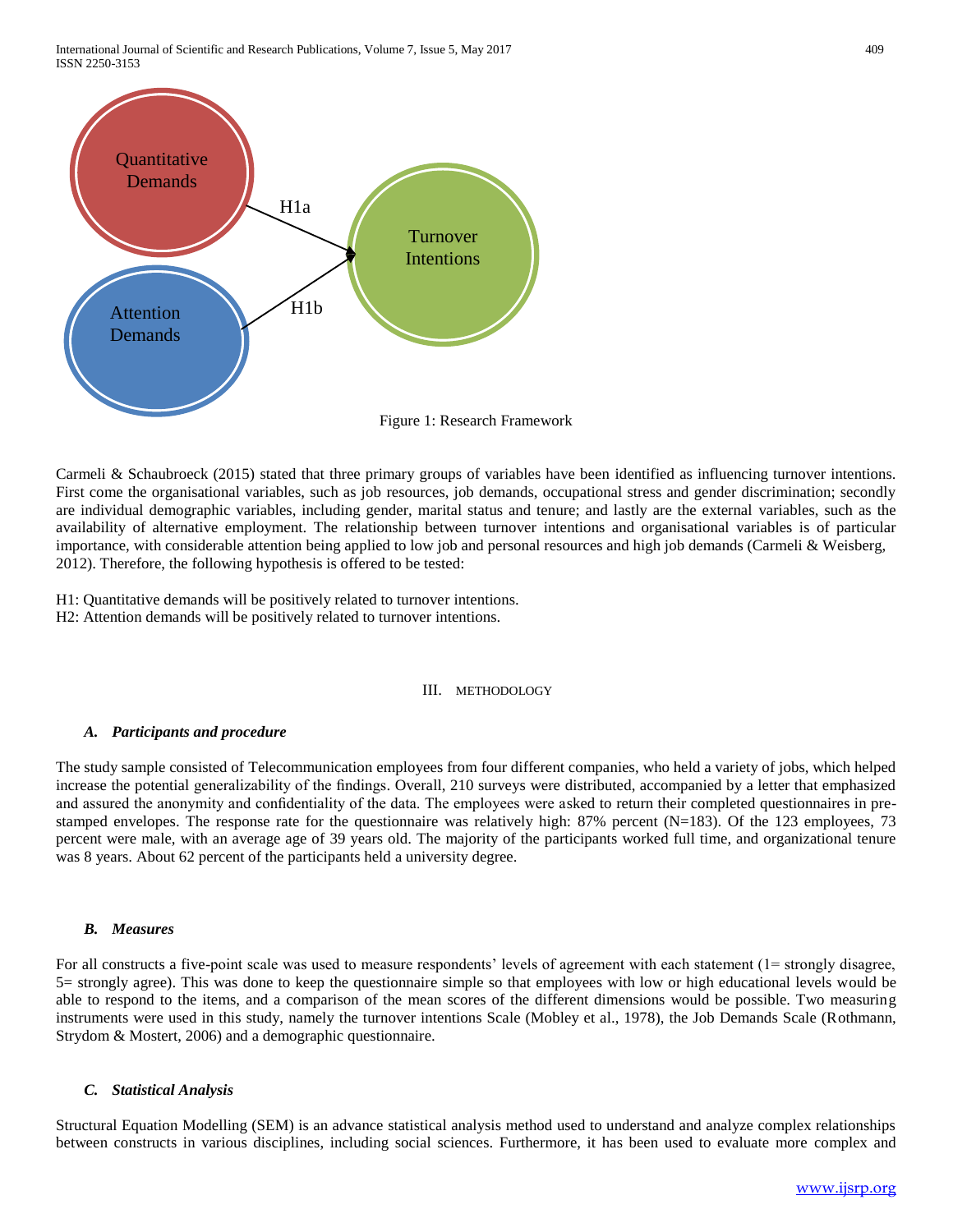International Journal of Scientific and Research Publications, Volume 7, Issue 5, May 2017 409 ISSN 2250-3153



Carmeli & Schaubroeck (2015) stated that three primary groups of variables have been identified as influencing turnover intentions. First come the organisational variables, such as job resources, job demands, occupational stress and gender discrimination; secondly are individual demographic variables, including gender, marital status and tenure; and lastly are the external variables, such as the availability of alternative employment. The relationship between turnover intentions and organisational variables is of particular importance, with considerable attention being applied to low job and personal resources and high job demands (Carmeli & Weisberg, 2012). Therefore, the following hypothesis is offered to be tested:

H1: Quantitative demands will be positively related to turnover intentions. H2: Attention demands will be positively related to turnover intentions.

## III. METHODOLOGY

#### *A. Participants and procedure*

The study sample consisted of Telecommunication employees from four different companies, who held a variety of jobs, which helped increase the potential generalizability of the findings. Overall, 210 surveys were distributed, accompanied by a letter that emphasized and assured the anonymity and confidentiality of the data. The employees were asked to return their completed questionnaires in prestamped envelopes. The response rate for the questionnaire was relatively high: 87% percent  $(N=183)$ . Of the 123 employees, 73 percent were male, with an average age of 39 years old. The majority of the participants worked full time, and organizational tenure was 8 years. About 62 percent of the participants held a university degree.

#### *B. Measures*

For all constructs a five-point scale was used to measure respondents' levels of agreement with each statement (1= strongly disagree, 5= strongly agree). This was done to keep the questionnaire simple so that employees with low or high educational levels would be able to respond to the items, and a comparison of the mean scores of the different dimensions would be possible. Two measuring instruments were used in this study, namely the turnover intentions Scale (Mobley et al., 1978), the Job Demands Scale (Rothmann, Strydom & Mostert, 2006) and a demographic questionnaire.

#### *C. Statistical Analysis*

Structural Equation Modelling (SEM) is an advance statistical analysis method used to understand and analyze complex relationships between constructs in various disciplines, including social sciences. Furthermore, it has been used to evaluate more complex and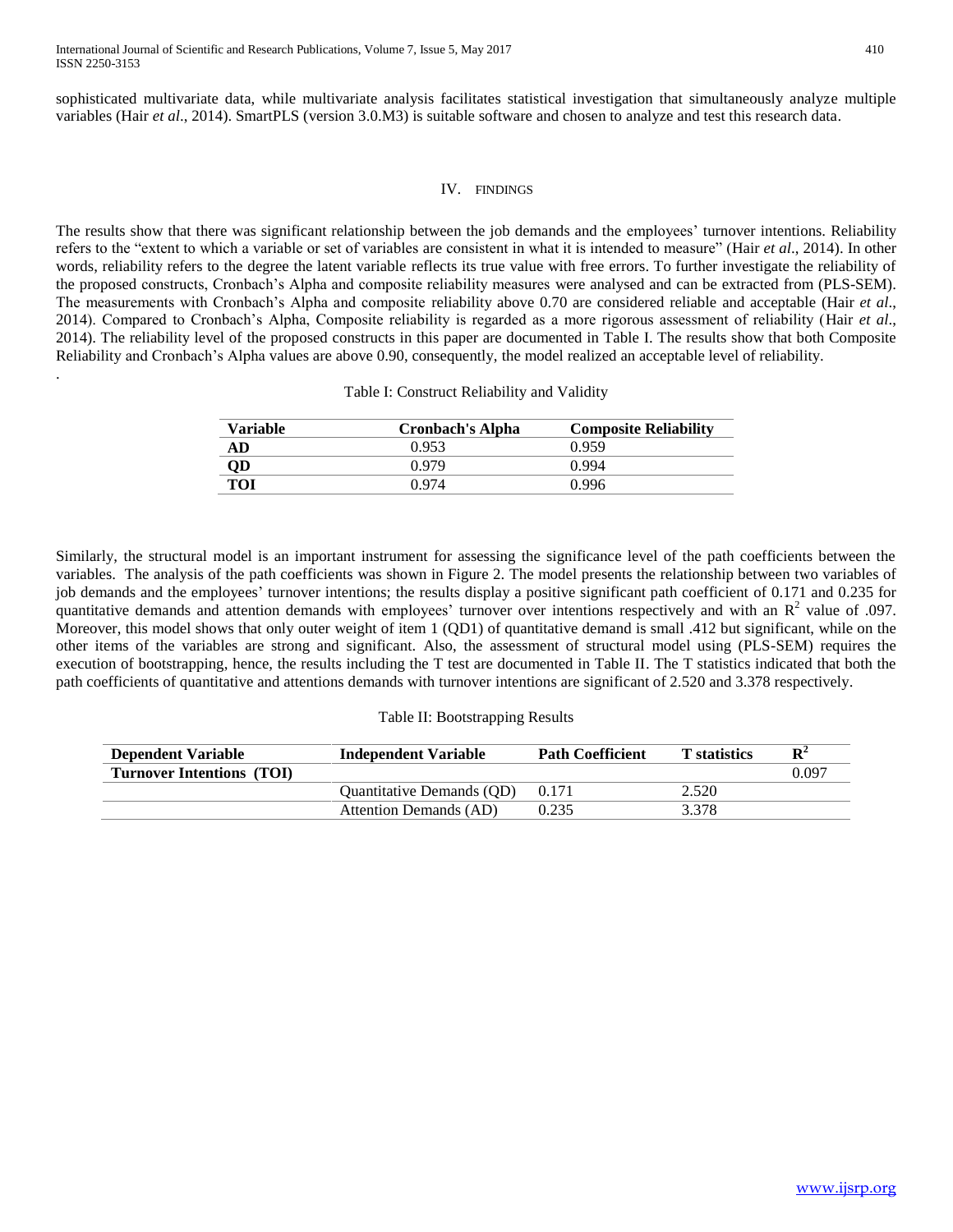.

sophisticated multivariate data, while multivariate analysis facilitates statistical investigation that simultaneously analyze multiple variables (Hair *et al*., 2014). SmartPLS (version 3.0.M3) is suitable software and chosen to analyze and test this research data.

## IV. FINDINGS

The results show that there was significant relationship between the job demands and the employees' turnover intentions. Reliability refers to the "extent to which a variable or set of variables are consistent in what it is intended to measure" (Hair *et al*., 2014). In other words, reliability refers to the degree the latent variable reflects its true value with free errors. To further investigate the reliability of the proposed constructs, Cronbach's Alpha and composite reliability measures were analysed and can be extracted from (PLS-SEM). The measurements with Cronbach's Alpha and composite reliability above 0.70 are considered reliable and acceptable (Hair *et al*., 2014). Compared to Cronbach's Alpha, Composite reliability is regarded as a more rigorous assessment of reliability (Hair *et al*., 2014). The reliability level of the proposed constructs in this paper are documented in Table I. The results show that both Composite Reliability and Cronbach's Alpha values are above 0.90, consequently, the model realized an acceptable level of reliability.

## Table I: Construct Reliability and Validity

| <b>Variable</b> | <b>Cronbach's Alpha</b> | <b>Composite Reliability</b> |
|-----------------|-------------------------|------------------------------|
| AD              | 0.953                   | 0.959                        |
| QD              | 0.979                   | 0.994                        |
| TOI             | 0.974                   | 0.996                        |

Similarly, the structural model is an important instrument for assessing the significance level of the path coefficients between the variables. The analysis of the path coefficients was shown in Figure 2. The model presents the relationship between two variables of job demands and the employees' turnover intentions; the results display a positive significant path coefficient of 0.171 and 0.235 for quantitative demands and attention demands with employees' turnover over intentions respectively and with an  $\mathbb{R}^2$  value of .097. Moreover, this model shows that only outer weight of item 1 (QD1) of quantitative demand is small .412 but significant, while on the other items of the variables are strong and significant. Also, the assessment of structural model using (PLS-SEM) requires the execution of bootstrapping, hence, the results including the T test are documented in Table II. The T statistics indicated that both the path coefficients of quantitative and attentions demands with turnover intentions are significant of 2.520 and 3.378 respectively.

## Table II: Bootstrapping Results

| <b>Dependent Variable</b>        | <b>Independent Variable</b>      | <b>Path Coefficient</b> | <b>T</b> statistics | $\mathbf{R}^2$ |
|----------------------------------|----------------------------------|-------------------------|---------------------|----------------|
| <b>Turnover Intentions (TOI)</b> |                                  |                         |                     | 0.097          |
|                                  | <b>Ouantitative Demands (OD)</b> | 0.171                   | 2.520               |                |
|                                  | Attention Demands (AD)           | 0.235                   | 3.378               |                |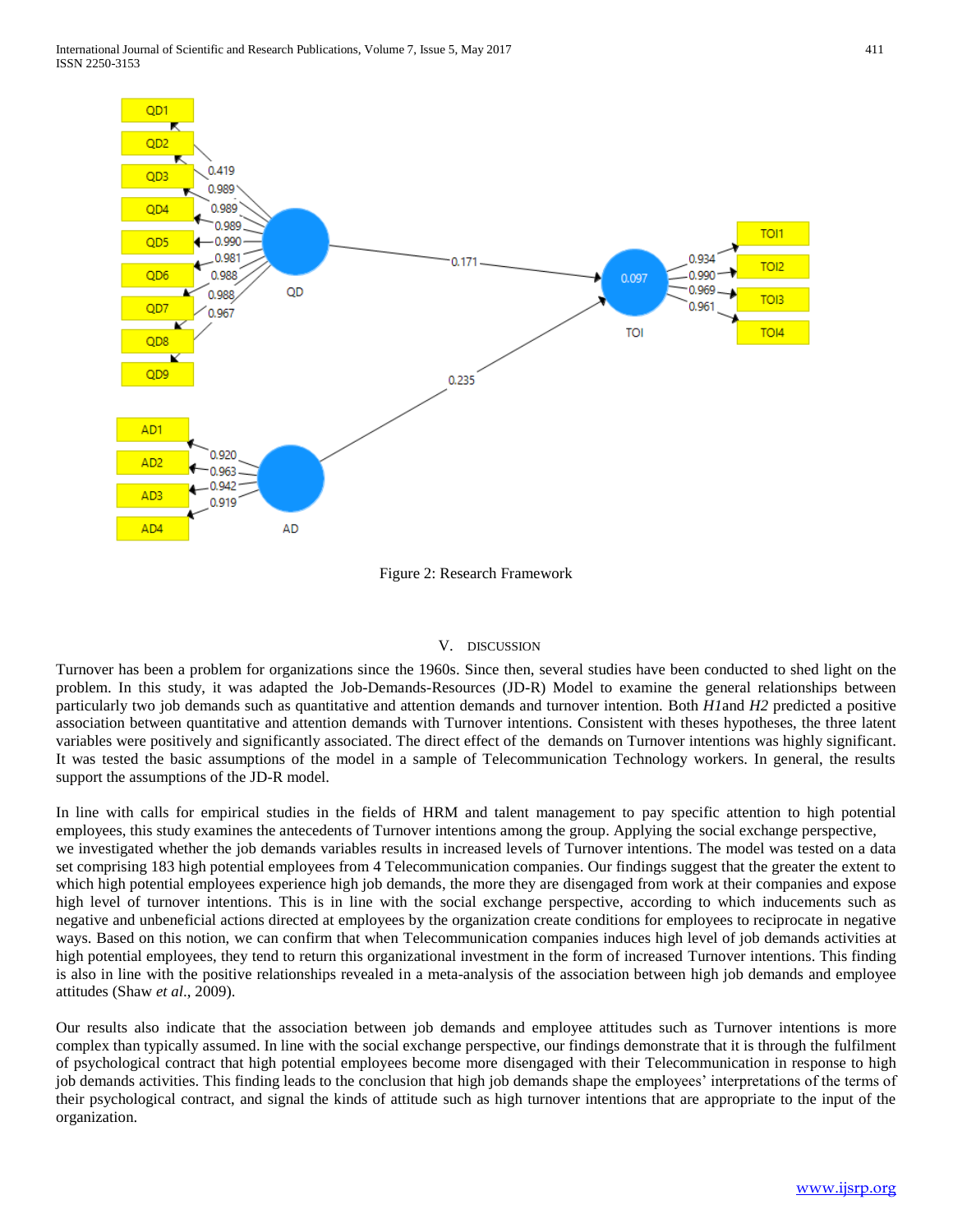

Figure 2: Research Framework

#### V. DISCUSSION

Turnover has been a problem for organizations since the 1960s. Since then, several studies have been conducted to shed light on the problem. In this study, it was adapted the Job-Demands-Resources (JD-R) Model to examine the general relationships between particularly two job demands such as quantitative and attention demands and turnover intention. Both *H1*and *H2* predicted a positive association between quantitative and attention demands with Turnover intentions. Consistent with theses hypotheses, the three latent variables were positively and significantly associated. The direct effect of the demands on Turnover intentions was highly significant. It was tested the basic assumptions of the model in a sample of Telecommunication Technology workers. In general, the results support the assumptions of the JD-R model.

In line with calls for empirical studies in the fields of HRM and talent management to pay specific attention to high potential employees, this study examines the antecedents of Turnover intentions among the group. Applying the social exchange perspective, we investigated whether the job demands variables results in increased levels of Turnover intentions. The model was tested on a data set comprising 183 high potential employees from 4 Telecommunication companies. Our findings suggest that the greater the extent to which high potential employees experience high job demands, the more they are disengaged from work at their companies and expose high level of turnover intentions. This is in line with the social exchange perspective, according to which inducements such as negative and unbeneficial actions directed at employees by the organization create conditions for employees to reciprocate in negative ways. Based on this notion, we can confirm that when Telecommunication companies induces high level of job demands activities at high potential employees, they tend to return this organizational investment in the form of increased Turnover intentions. This finding is also in line with the positive relationships revealed in a meta-analysis of the association between high job demands and employee attitudes (Shaw *et al*., 2009).

Our results also indicate that the association between job demands and employee attitudes such as Turnover intentions is more complex than typically assumed. In line with the social exchange perspective, our findings demonstrate that it is through the fulfilment of psychological contract that high potential employees become more disengaged with their Telecommunication in response to high job demands activities. This finding leads to the conclusion that high job demands shape the employees' interpretations of the terms of their psychological contract, and signal the kinds of attitude such as high turnover intentions that are appropriate to the input of the organization.